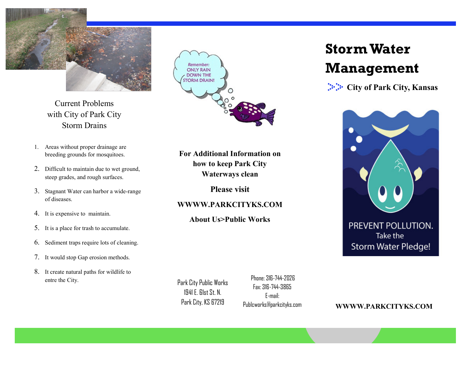

Current Problems with City of Park City Storm Drains

- 1. Areas without proper drainage are breeding grounds for mosquitoes.
- 2. Difficult to maintain due to wet ground, steep grades, and rough surfaces.
- 3. Stagnant Water can harbor a wide-range of diseases.
- 4. It is expensive to maintain.
- 5. It is a place for trash to accumulate.
- 6. Sediment traps require lots of cleaning.
- 7. It would stop Gap erosion methods.
- 8. It create natural paths for wildlife to entre the City.



For Additional Information on how to keep Park City Waterways clean

Please visit

#### WWWW.PARKCITYKS.COM

About Us>Public Works

Park City Public Works 1941 E. 61st St. N. Park City, KS 67219

 Phone: 316-744-2026 Fax: 316-744-3865 E-mail: Publcworks@parkcityks.com

WWWW.PARKCITYKS.COM

# Storm Water Management

**City of Park City, Kansas** 



Take the Storm Water Pledge!